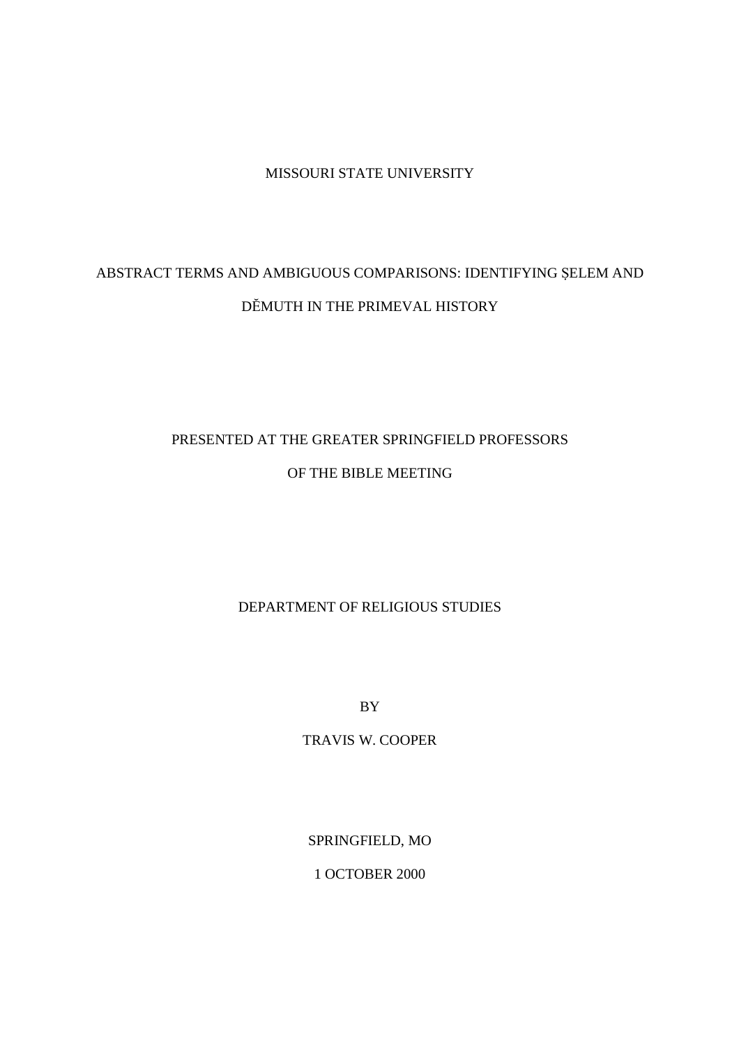# MISSOURI STATE UNIVERSITY

# ABSTRACT TERMS AND AMBIGUOUS COMPARISONS: IDENTIFYING ṢELEM AND DĔMUTH IN THE PRIMEVAL HISTORY

# PRESENTED AT THE GREATER SPRINGFIELD PROFESSORS OF THE BIBLE MEETING

# DEPARTMENT OF RELIGIOUS STUDIES

BY

TRAVIS W. COOPER

SPRINGFIELD, MO

1 OCTOBER 2000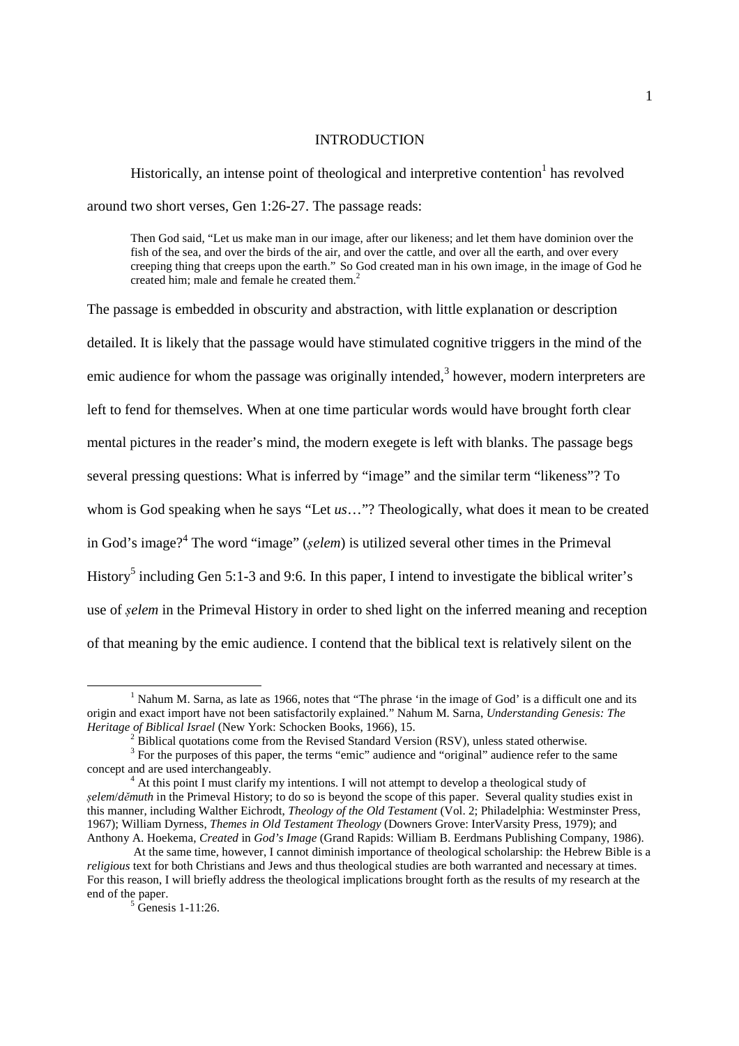### INTRODUCTION

Historically, an intense point of theological and interpretive contention $<sup>1</sup>$  has revolved</sup> around two short verses, Gen 1:26-27. The passage reads:

Then God said, "Let us make man in our image, after our likeness; and let them have dominion over the fish of the sea, and over the birds of the air, and over the cattle, and over all the earth, and over every creeping thing that creeps upon the earth." So God created man in his own image, in the image of God he created him; male and female he created them.<sup>2</sup>

The passage is embedded in obscurity and abstraction, with little explanation or description detailed. It is likely that the passage would have stimulated cognitive triggers in the mind of the emic audience for whom the passage was originally intended, $3$  however, modern interpreters are left to fend for themselves. When at one time particular words would have brought forth clear mental pictures in the reader's mind, the modern exegete is left with blanks. The passage begs several pressing questions: What is inferred by "image" and the similar term "likeness"? To whom is God speaking when he says "Let *us*…"? Theologically, what does it mean to be created in God's image?<sup>4</sup> The word "image" (*ṣelem*) is utilized several other times in the Primeval History<sup>5</sup> including Gen 5:1-3 and 9:6. In this paper, I intend to investigate the biblical writer's use of *ṣelem* in the Primeval History in order to shed light on the inferred meaning and reception of that meaning by the emic audience. I contend that the biblical text is relatively silent on the

<sup>&</sup>lt;sup>1</sup> Nahum M. Sarna, as late as 1966, notes that "The phrase 'in the image of God' is a difficult one and its origin and exact import have not been satisfactorily explained." Nahum M. Sarna, *Understanding Genesis: The Heritage of Biblical Israel* (New York: Schocken Books, 1966), 15.

 $2^{2}$  Biblical quotations come from the Revised Standard Version (RSV), unless stated otherwise.

<sup>&</sup>lt;sup>3</sup> For the purposes of this paper, the terms "emic" audience and "original" audience refer to the same concept and are used interchangeably.

<sup>&</sup>lt;sup>4</sup> At this point I must clarify my intentions. I will not attempt to develop a theological study of *ṣelem*/*dĕmuth* in the Primeval History; to do so is beyond the scope of this paper. Several quality studies exist in this manner, including Walther Eichrodt, *Theology of the Old Testament* (Vol. 2; Philadelphia: Westminster Press, 1967); William Dyrness, *Themes in Old Testament Theology* (Downers Grove: InterVarsity Press, 1979); and Anthony A. Hoekema, *Created* in *God's Image* (Grand Rapids: William B. Eerdmans Publishing Company, 1986).

At the same time, however, I cannot diminish importance of theological scholarship: the Hebrew Bible is a *religious* text for both Christians and Jews and thus theological studies are both warranted and necessary at times. For this reason, I will briefly address the theological implications brought forth as the results of my research at the end of the paper.

<sup>5</sup> Genesis 1-11:26.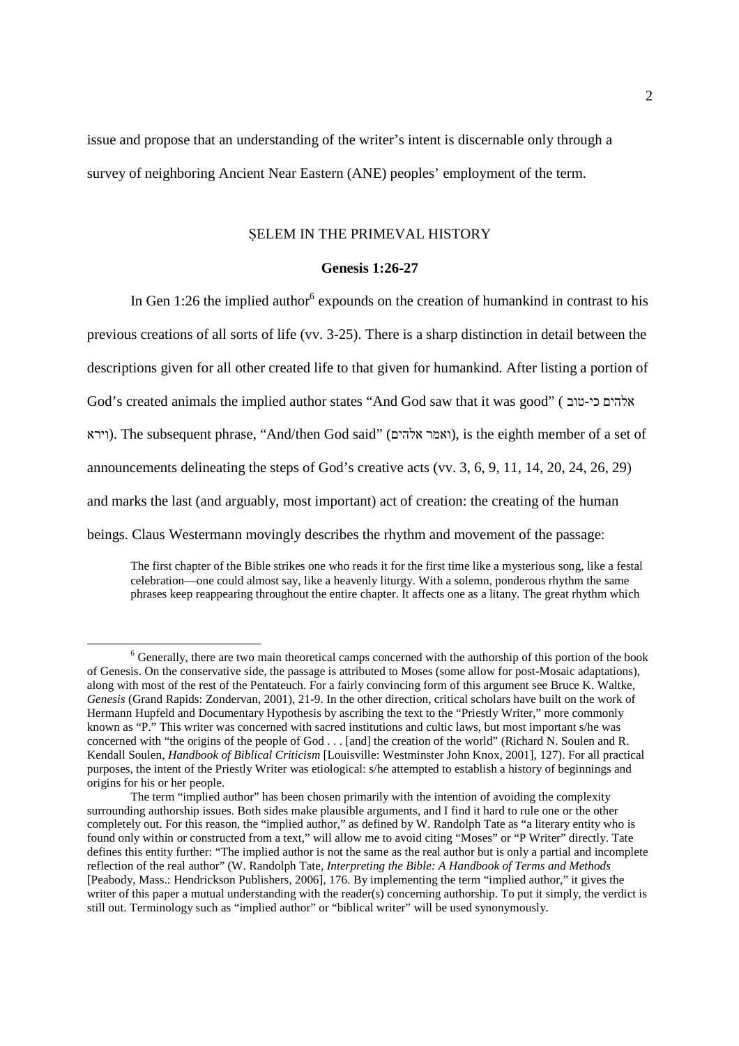issue and propose that an understanding of the writer's intent is discernable only through a survey of neighboring Ancient Near Eastern (ANE) peoples' employment of the term.

## ṢELEM IN THE PRIMEVAL HISTORY

## **Genesis 1:26-27**

In Gen 1:26 the implied author<sup>6</sup> expounds on the creation of humankind in contrast to his previous creations of all sorts of life (vv. 3-25). There is a sharp distinction in detail between the descriptions given for all other created life to that given for humankind. After listing a portion of God's created animals the implied author states "And God saw that it was good" ( אלהים כי-טוב -God's created animals the implied author states "And God saw that it was good" וירא). The subsequent phrase, "And/then God said" (ואמר אלהים), is the eighth member of a set of announcements delineating the steps of God's creative acts (vv. 3, 6, 9, 11, 14, 20, 24, 26, 29) and marks the last (and arguably, most important) act of creation: the creating of the human beings. Claus Westermann movingly describes the rhythm and movement of the passage:

The first chapter of the Bible strikes one who reads it for the first time like a mysterious song, like a festal celebration—one could almost say, like a heavenly liturgy. With a solemn, ponderous rhythm the same phrases keep reappearing throughout the entire chapter. It affects one as a litany. The great rhythm which

<sup>&</sup>lt;sup>6</sup> Generally, there are two main theoretical camps concerned with the authorship of this portion of the book of Genesis. On the conservative side, the passage is attributed to Moses (some allow for post-Mosaic adaptations), along with most of the rest of the Pentateuch. For a fairly convincing form of this argument see Bruce K. Waltke, *Genesis* (Grand Rapids: Zondervan, 2001), 21-9. In the other direction, critical scholars have built on the work of Hermann Hupfeld and Documentary Hypothesis by ascribing the text to the "Priestly Writer," more commonly known as "P." This writer was concerned with sacred institutions and cultic laws, but most important s/he was concerned with "the origins of the people of God . . . [and] the creation of the world" (Richard N. Soulen and R. Kendall Soulen, *Handbook of Biblical Criticism* [Louisville: Westminster John Knox, 2001], 127). For all practical purposes, the intent of the Priestly Writer was etiological: s/he attempted to establish a history of beginnings and origins for his or her people.

The term "implied author" has been chosen primarily with the intention of avoiding the complexity surrounding authorship issues. Both sides make plausible arguments, and I find it hard to rule one or the other completely out. For this reason, the "implied author," as defined by W. Randolph Tate as "a literary entity who is found only within or constructed from a text," will allow me to avoid citing "Moses" or "P Writer" directly. Tate defines this entity further: "The implied author is not the same as the real author but is only a partial and incomplete reflection of the real author" (W. Randolph Tate, *Interpreting the Bible: A Handbook of Terms and Methods*  [Peabody, Mass.: Hendrickson Publishers, 2006], 176. By implementing the term "implied author," it gives the writer of this paper a mutual understanding with the reader(s) concerning authorship. To put it simply, the verdict is still out. Terminology such as "implied author" or "biblical writer" will be used synonymously.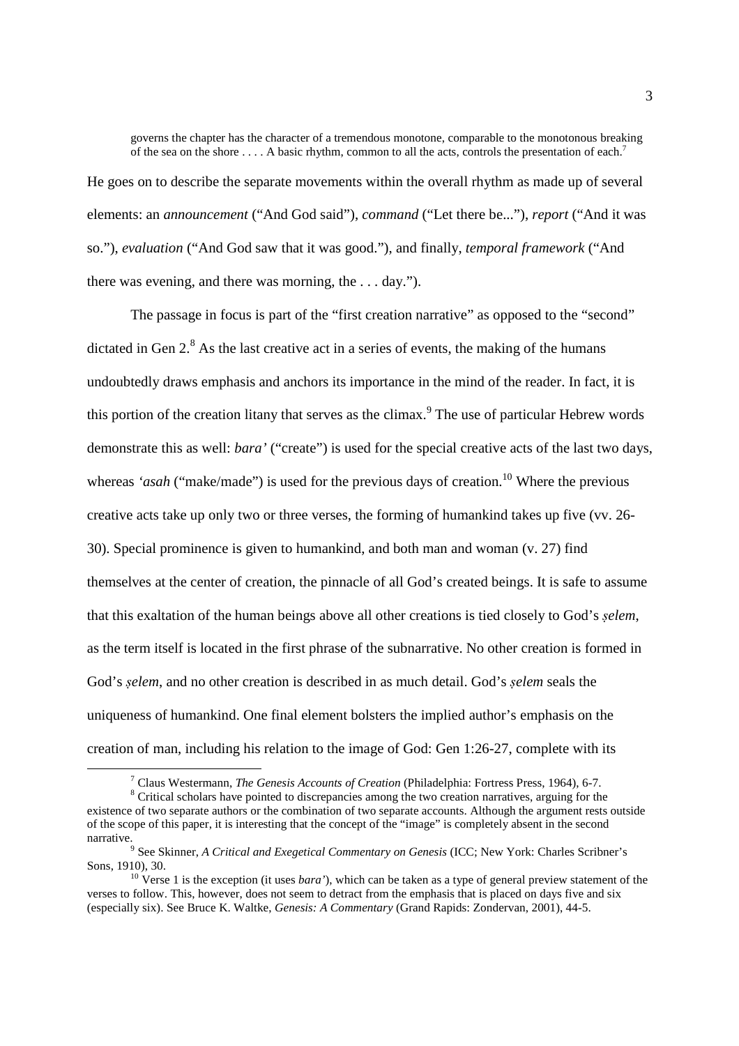governs the chapter has the character of a tremendous monotone, comparable to the monotonous breaking of the sea on the shore . . . . A basic rhythm, common to all the acts, controls the presentation of each.<sup>7</sup> He goes on to describe the separate movements within the overall rhythm as made up of several elements: an *announcement* ("And God said"), *command* ("Let there be..."), *report* ("And it was so."), *evaluation* ("And God saw that it was good."), and finally, *temporal framework* ("And there was evening, and there was morning, the . . . day.").

 The passage in focus is part of the "first creation narrative" as opposed to the "second" dictated in Gen  $2<sup>8</sup>$  As the last creative act in a series of events, the making of the humans undoubtedly draws emphasis and anchors its importance in the mind of the reader. In fact, it is this portion of the creation litany that serves as the climax.<sup>9</sup> The use of particular Hebrew words demonstrate this as well: *bara'* ("create") is used for the special creative acts of the last two days, whereas *'asah* ("make/made") is used for the previous days of creation.<sup>10</sup> Where the previous creative acts take up only two or three verses, the forming of humankind takes up five (vv. 26- 30). Special prominence is given to humankind, and both man and woman (v. 27) find themselves at the center of creation, the pinnacle of all God's created beings. It is safe to assume that this exaltation of the human beings above all other creations is tied closely to God's *ṣelem*, as the term itself is located in the first phrase of the subnarrative. No other creation is formed in God's *ṣelem*, and no other creation is described in as much detail. God's *ṣelem* seals the uniqueness of humankind. One final element bolsters the implied author's emphasis on the creation of man, including his relation to the image of God: Gen 1:26-27, complete with its

<sup>7</sup> Claus Westermann, *The Genesis Accounts of Creation* (Philadelphia: Fortress Press, 1964), 6-7.

<sup>&</sup>lt;sup>8</sup> Critical scholars have pointed to discrepancies among the two creation narratives, arguing for the existence of two separate authors or the combination of two separate accounts. Although the argument rests outside of the scope of this paper, it is interesting that the concept of the "image" is completely absent in the second

narrative.<br><sup>9</sup> See Skinner, *A Critical and Exegetical Commentary on Genesis* (ICC; New York: Charles Scribner's Sons, 1910), 30.

<sup>&</sup>lt;sup>10</sup> Verse 1 is the exception (it uses *bara'*), which can be taken as a type of general preview statement of the verses to follow. This, however, does not seem to detract from the emphasis that is placed on days five and six (especially six). See Bruce K. Waltke, *Genesis: A Commentary* (Grand Rapids: Zondervan, 2001), 44-5.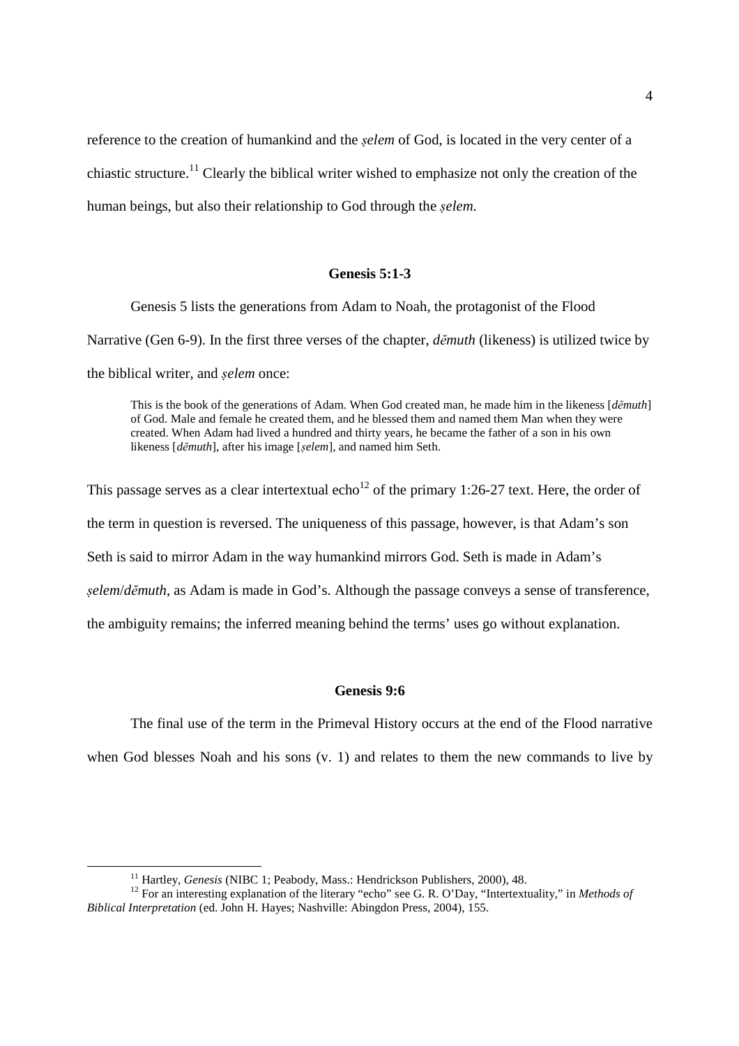reference to the creation of humankind and the *ṣelem* of God, is located in the very center of a chiastic structure.<sup>11</sup> Clearly the biblical writer wished to emphasize not only the creation of the human beings, but also their relationship to God through the *ṣelem*.

## **Genesis 5:1-3**

 Genesis 5 lists the generations from Adam to Noah, the protagonist of the Flood Narrative (Gen 6-9). In the first three verses of the chapter, *dĕmuth* (likeness) is utilized twice by the biblical writer, and *ṣelem* once:

This is the book of the generations of Adam. When God created man, he made him in the likeness [*dĕmuth*] of God. Male and female he created them, and he blessed them and named them Man when they were created. When Adam had lived a hundred and thirty years, he became the father of a son in his own likeness [*dĕmuth*], after his image [*ṣelem*], and named him Seth.

This passage serves as a clear intertextual echo<sup>12</sup> of the primary 1:26-27 text. Here, the order of the term in question is reversed. The uniqueness of this passage, however, is that Adam's son Seth is said to mirror Adam in the way humankind mirrors God. Seth is made in Adam's *ṣelem*/*dĕmuth*, as Adam is made in God's. Although the passage conveys a sense of transference, the ambiguity remains; the inferred meaning behind the terms' uses go without explanation.

### **Genesis 9:6**

The final use of the term in the Primeval History occurs at the end of the Flood narrative

when God blesses Noah and his sons (v. 1) and relates to them the new commands to live by

<sup>11</sup> Hartley, *Genesis* (NIBC 1; Peabody, Mass.: Hendrickson Publishers, 2000), 48.

<sup>&</sup>lt;sup>12</sup> For an interesting explanation of the literary "echo" see G. R. O'Day, "Intertextuality," in *Methods of Biblical Interpretation* (ed. John H. Hayes; Nashville: Abingdon Press, 2004), 155.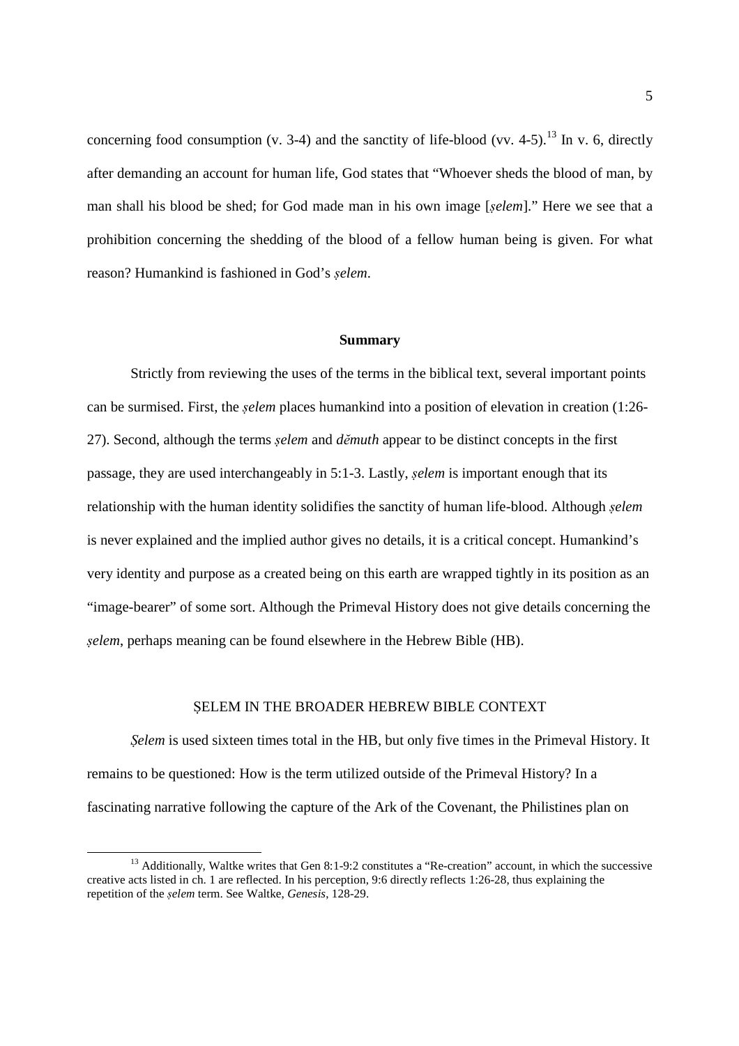concerning food consumption (v. 3-4) and the sanctity of life-blood (vv. 4-5).<sup>13</sup> In v. 6, directly after demanding an account for human life, God states that "Whoever sheds the blood of man, by man shall his blood be shed; for God made man in his own image [*ṣelem*]." Here we see that a prohibition concerning the shedding of the blood of a fellow human being is given. For what reason? Humankind is fashioned in God's *ṣelem*.

#### **Summary**

 Strictly from reviewing the uses of the terms in the biblical text, several important points can be surmised. First, the *ṣelem* places humankind into a position of elevation in creation (1:26- 27). Second, although the terms *ṣelem* and *dĕmuth* appear to be distinct concepts in the first passage, they are used interchangeably in 5:1-3. Lastly, *ṣelem* is important enough that its relationship with the human identity solidifies the sanctity of human life-blood. Although *ṣelem* is never explained and the implied author gives no details, it is a critical concept. Humankind's very identity and purpose as a created being on this earth are wrapped tightly in its position as an "image-bearer" of some sort. Although the Primeval History does not give details concerning the *ṣelem*, perhaps meaning can be found elsewhere in the Hebrew Bible (HB).

## ṢELEM IN THE BROADER HEBREW BIBLE CONTEXT

*Şelem* is used sixteen times total in the HB, but only five times in the Primeval History. It remains to be questioned: How is the term utilized outside of the Primeval History? In a fascinating narrative following the capture of the Ark of the Covenant, the Philistines plan on

<sup>&</sup>lt;sup>13</sup> Additionally, Waltke writes that Gen 8:1-9:2 constitutes a "Re-creation" account, in which the successive creative acts listed in ch. 1 are reflected. In his perception, 9:6 directly reflects 1:26-28, thus explaining the repetition of the *ṣelem* term. See Waltke, *Genesis*, 128-29.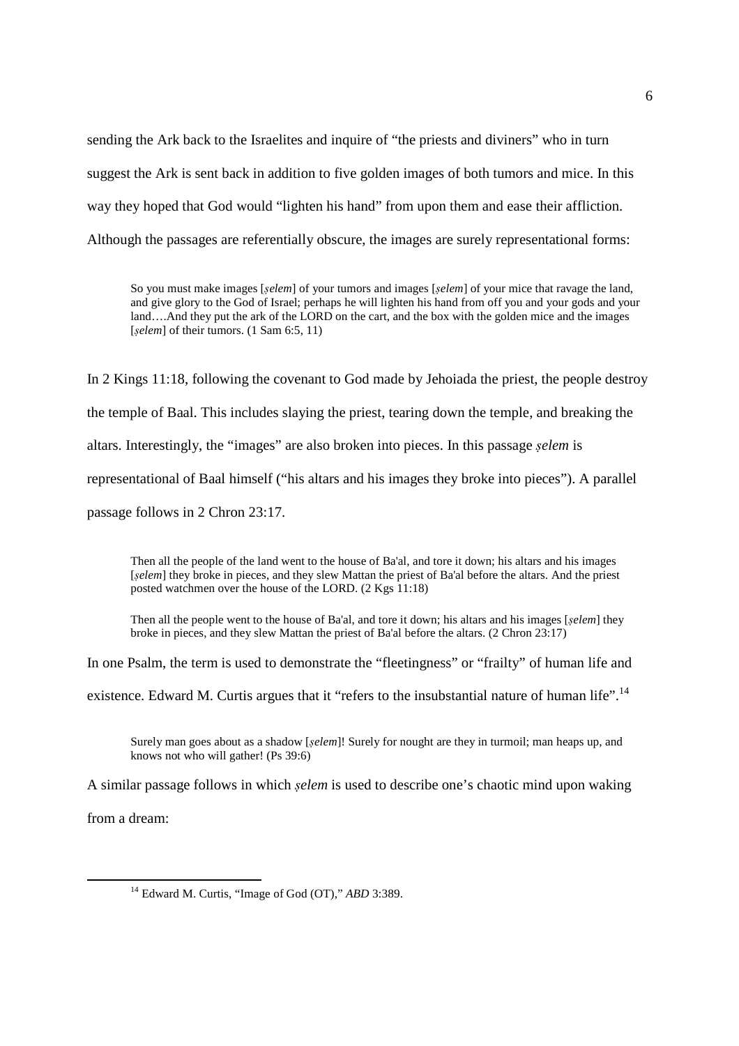sending the Ark back to the Israelites and inquire of "the priests and diviners" who in turn suggest the Ark is sent back in addition to five golden images of both tumors and mice. In this way they hoped that God would "lighten his hand" from upon them and ease their affliction. Although the passages are referentially obscure, the images are surely representational forms:

So you must make images [*ṣelem*] of your tumors and images [*ṣelem*] of your mice that ravage the land, and give glory to the God of Israel; perhaps he will lighten his hand from off you and your gods and your land….And they put the ark of the LORD on the cart, and the box with the golden mice and the images [*şelem*] of their tumors. (1 Sam 6:5, 11)

In 2 Kings 11:18, following the covenant to God made by Jehoiada the priest, the people destroy the temple of Baal. This includes slaying the priest, tearing down the temple, and breaking the altars. Interestingly, the "images" are also broken into pieces. In this passage *ṣelem* is representational of Baal himself ("his altars and his images they broke into pieces"). A parallel passage follows in 2 Chron 23:17.

Then all the people of the land went to the house of Ba'al, and tore it down; his altars and his images [*selem*] they broke in pieces, and they slew Mattan the priest of Ba'al before the altars. And the priest posted watchmen over the house of the LORD. (2 Kgs 11:18)

Then all the people went to the house of Ba'al, and tore it down; his altars and his images [*ṣelem*] they broke in pieces, and they slew Mattan the priest of Ba'al before the altars. (2 Chron 23:17)

In one Psalm, the term is used to demonstrate the "fleetingness" or "frailty" of human life and

existence. Edward M. Curtis argues that it "refers to the insubstantial nature of human life".<sup>14</sup>

Surely man goes about as a shadow [*ṣelem*]! Surely for nought are they in turmoil; man heaps up, and knows not who will gather! (Ps 39:6)

A similar passage follows in which *ṣelem* is used to describe one's chaotic mind upon waking

from a dream:

<u>.</u>

<sup>14</sup> Edward M. Curtis, "Image of God (OT)," *ABD* 3:389.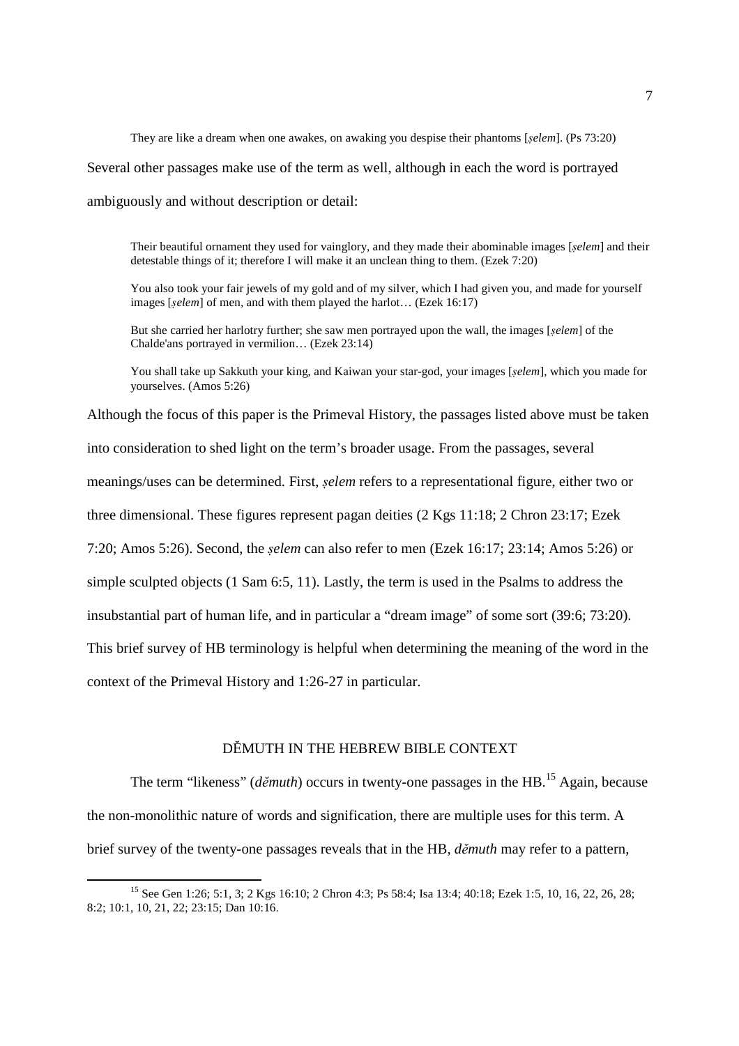They are like a dream when one awakes, on awaking you despise their phantoms [*ṣelem*]. (Ps 73:20) Several other passages make use of the term as well, although in each the word is portrayed ambiguously and without description or detail:

Their beautiful ornament they used for vainglory, and they made their abominable images [*ṣelem*] and their detestable things of it; therefore I will make it an unclean thing to them. (Ezek 7:20)

You also took your fair jewels of my gold and of my silver, which I had given you, and made for yourself images [*ṣelem*] of men, and with them played the harlot… (Ezek 16:17)

But she carried her harlotry further; she saw men portrayed upon the wall, the images [*ṣelem*] of the Chalde'ans portrayed in vermilion… (Ezek 23:14)

You shall take up Sakkuth your king, and Kaiwan your star-god, your images [*ṣelem*], which you made for yourselves. (Amos 5:26)

Although the focus of this paper is the Primeval History, the passages listed above must be taken

into consideration to shed light on the term's broader usage. From the passages, several

meanings/uses can be determined. First, *ṣelem* refers to a representational figure, either two or

three dimensional. These figures represent pagan deities (2 Kgs 11:18; 2 Chron 23:17; Ezek

7:20; Amos 5:26). Second, the *ṣelem* can also refer to men (Ezek 16:17; 23:14; Amos 5:26) or

simple sculpted objects (1 Sam 6:5, 11). Lastly, the term is used in the Psalms to address the

insubstantial part of human life, and in particular a "dream image" of some sort (39:6; 73:20).

This brief survey of HB terminology is helpful when determining the meaning of the word in the

context of the Primeval History and 1:26-27 in particular.

<u>.</u>

## DĔMUTH IN THE HEBREW BIBLE CONTEXT

The term "likeness" (*děmuth*) occurs in twenty-one passages in the HB.<sup>15</sup> Again, because the non-monolithic nature of words and signification, there are multiple uses for this term. A brief survey of the twenty-one passages reveals that in the HB, *dĕmuth* may refer to a pattern,

<sup>15</sup> See Gen 1:26; 5:1, 3; 2 Kgs 16:10; 2 Chron 4:3; Ps 58:4; Isa 13:4; 40:18; Ezek 1:5, 10, 16, 22, 26, 28; 8:2; 10:1, 10, 21, 22; 23:15; Dan 10:16.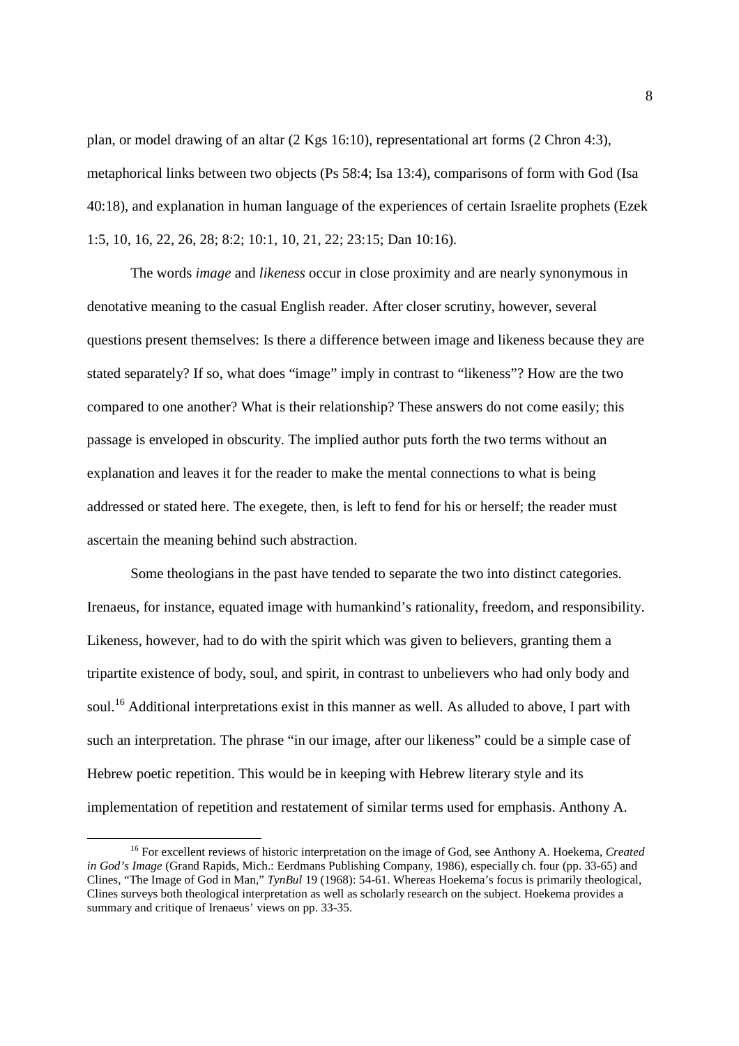plan, or model drawing of an altar (2 Kgs 16:10), representational art forms (2 Chron 4:3), metaphorical links between two objects (Ps 58:4; Isa 13:4), comparisons of form with God (Isa 40:18), and explanation in human language of the experiences of certain Israelite prophets (Ezek 1:5, 10, 16, 22, 26, 28; 8:2; 10:1, 10, 21, 22; 23:15; Dan 10:16).

The words *image* and *likeness* occur in close proximity and are nearly synonymous in denotative meaning to the casual English reader. After closer scrutiny, however, several questions present themselves: Is there a difference between image and likeness because they are stated separately? If so, what does "image" imply in contrast to "likeness"? How are the two compared to one another? What is their relationship? These answers do not come easily; this passage is enveloped in obscurity. The implied author puts forth the two terms without an explanation and leaves it for the reader to make the mental connections to what is being addressed or stated here. The exegete, then, is left to fend for his or herself; the reader must ascertain the meaning behind such abstraction.

 Some theologians in the past have tended to separate the two into distinct categories. Irenaeus, for instance, equated image with humankind's rationality, freedom, and responsibility. Likeness, however, had to do with the spirit which was given to believers, granting them a tripartite existence of body, soul, and spirit, in contrast to unbelievers who had only body and soul.<sup>16</sup> Additional interpretations exist in this manner as well. As alluded to above, I part with such an interpretation. The phrase "in our image, after our likeness" could be a simple case of Hebrew poetic repetition. This would be in keeping with Hebrew literary style and its implementation of repetition and restatement of similar terms used for emphasis. Anthony A.

<sup>16</sup> For excellent reviews of historic interpretation on the image of God, see Anthony A. Hoekema, *Created in God's Image* (Grand Rapids, Mich.: Eerdmans Publishing Company, 1986), especially ch. four (pp. 33-65) and Clines, "The Image of God in Man," *TynBul* 19 (1968): 54-61. Whereas Hoekema's focus is primarily theological, Clines surveys both theological interpretation as well as scholarly research on the subject. Hoekema provides a summary and critique of Irenaeus' views on pp. 33-35.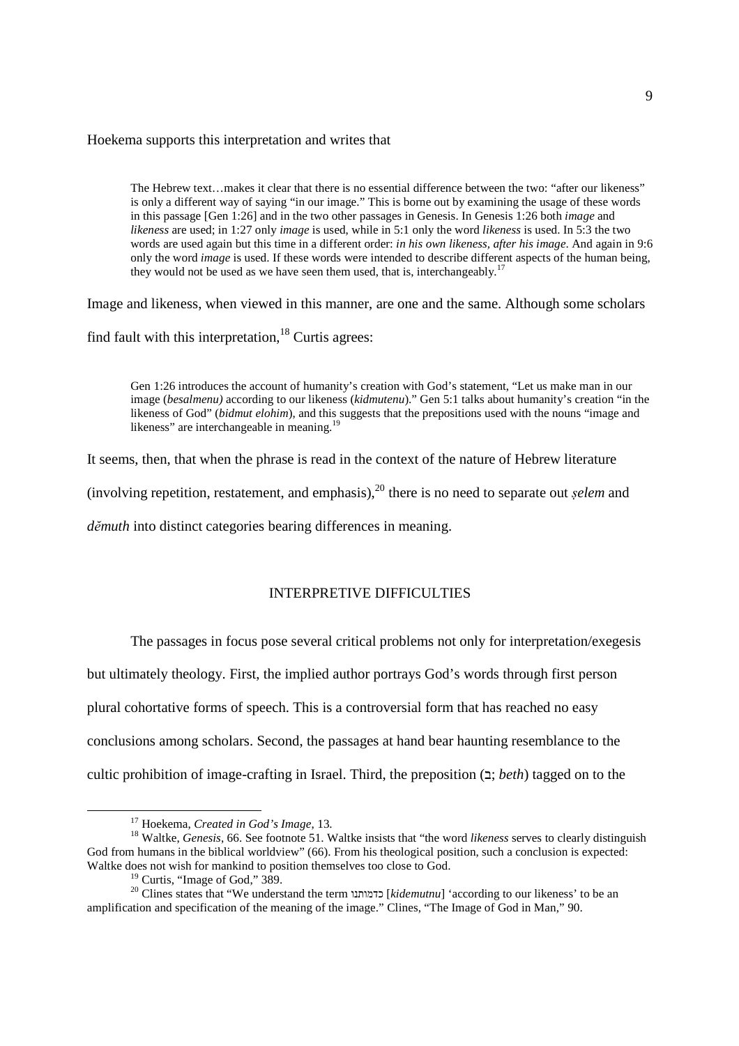#### Hoekema supports this interpretation and writes that

The Hebrew text…makes it clear that there is no essential difference between the two: "after our likeness" is only a different way of saying "in our image." This is borne out by examining the usage of these words in this passage [Gen 1:26] and in the two other passages in Genesis. In Genesis 1:26 both *image* and *likeness* are used; in 1:27 only *image* is used, while in 5:1 only the word *likeness* is used. In 5:3 the two words are used again but this time in a different order: *in his own likeness, after his image*. And again in 9:6 only the word *image* is used. If these words were intended to describe different aspects of the human being, they would not be used as we have seen them used, that is, interchangeably.<sup>17</sup>

Image and likeness, when viewed in this manner, are one and the same. Although some scholars find fault with this interpretation,  $^{18}$  Curtis agrees:

Gen 1:26 introduces the account of humanity's creation with God's statement, "Let us make man in our image (*besalmenu)* according to our likeness (*kidmutenu*)." Gen 5:1 talks about humanity's creation "in the likeness of God" (*bidmut elohim*), and this suggests that the prepositions used with the nouns "image and likeness" are interchangeable in meaning.<sup>19</sup>

It seems, then, that when the phrase is read in the context of the nature of Hebrew literature

(involving repetition, restatement, and emphasis),<sup>20</sup> there is no need to separate out *ṣelem* and

*dĕmuth* into distinct categories bearing differences in meaning.

## INTERPRETIVE DIFFICULTIES

The passages in focus pose several critical problems not only for interpretation/exegesis

but ultimately theology. First, the implied author portrays God's words through first person

plural cohortative forms of speech. This is a controversial form that has reached no easy

conclusions among scholars. Second, the passages at hand bear haunting resemblance to the

cultic prohibition of image-crafting in Israel. Third, the preposition ( $\exists$ ; *beth*) tagged on to the

<sup>17</sup> Hoekema, *Created in God's Image*, 13.

<sup>18</sup> Waltke, *Genesis*, 66. See footnote 51. Waltke insists that "the word *likeness* serves to clearly distinguish God from humans in the biblical worldview" (66). From his theological position, such a conclusion is expected: Waltke does not wish for mankind to position themselves too close to God.

<sup>&</sup>lt;sup>19</sup> Curtis, "Image of God," 389.

<sup>20</sup> Clines states that "We understand the term כדמותנו] *kidemutnu*] 'according to our likeness' to be an amplification and specification of the meaning of the image." Clines, "The Image of God in Man," 90.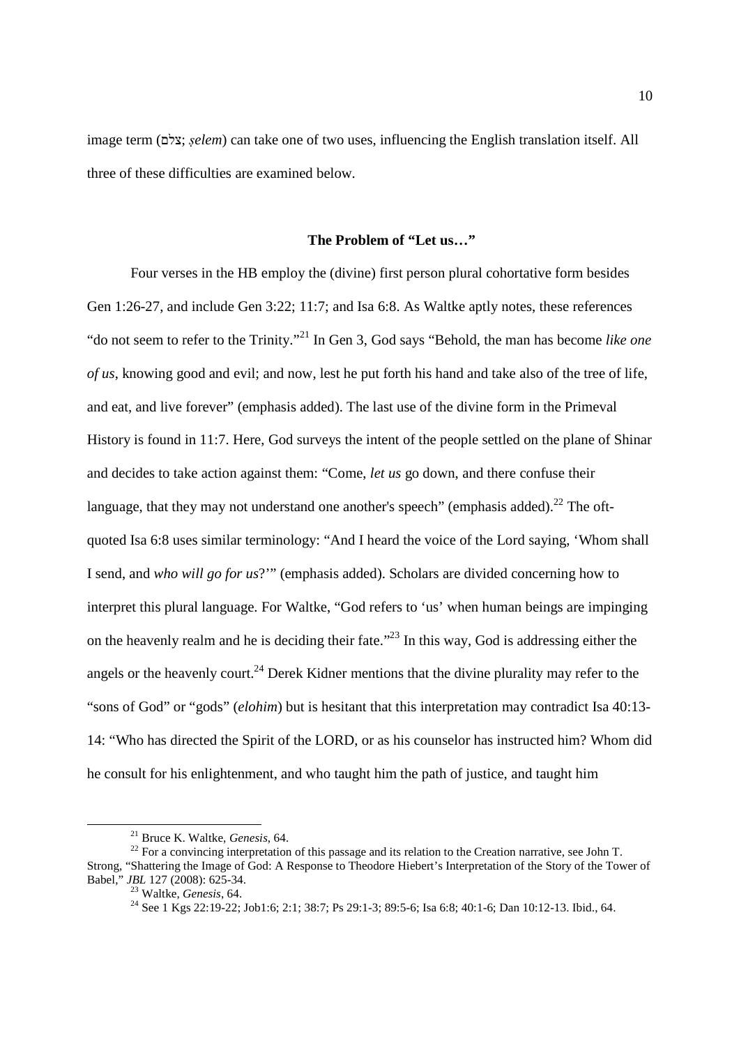image term (צלם ;*ṣelem*) can take one of two uses, influencing the English translation itself. All three of these difficulties are examined below.

## **The Problem of "Let us…"**

Four verses in the HB employ the (divine) first person plural cohortative form besides Gen 1:26-27, and include Gen 3:22; 11:7; and Isa 6:8. As Waltke aptly notes, these references "do not seem to refer to the Trinity."<sup>21</sup> In Gen 3, God says "Behold, the man has become *like one of us*, knowing good and evil; and now, lest he put forth his hand and take also of the tree of life, and eat, and live forever" (emphasis added). The last use of the divine form in the Primeval History is found in 11:7. Here, God surveys the intent of the people settled on the plane of Shinar and decides to take action against them: "Come, *let us* go down, and there confuse their language, that they may not understand one another's speech" (emphasis added).<sup>22</sup> The oftquoted Isa 6:8 uses similar terminology: "And I heard the voice of the Lord saying, 'Whom shall I send, and *who will go for us*?'" (emphasis added). Scholars are divided concerning how to interpret this plural language. For Waltke, "God refers to 'us' when human beings are impinging on the heavenly realm and he is deciding their fate."<sup>23</sup> In this way, God is addressing either the angels or the heavenly court.<sup>24</sup> Derek Kidner mentions that the divine plurality may refer to the "sons of God" or "gods" (*elohim*) but is hesitant that this interpretation may contradict Isa 40:13- 14: "Who has directed the Spirit of the LORD, or as his counselor has instructed him? Whom did he consult for his enlightenment, and who taught him the path of justice, and taught him

<sup>21</sup> Bruce K. Waltke, *Genesis*, 64.

<sup>&</sup>lt;sup>22</sup> For a convincing interpretation of this passage and its relation to the Creation narrative, see John T. Strong, "Shattering the Image of God: A Response to Theodore Hiebert's Interpretation of the Story of the Tower of Babel," *JBL* 127 (2008): 625-34.

<sup>23</sup> Waltke, *Genesis*, 64.

<sup>&</sup>lt;sup>24</sup> See 1 Kgs 22:19-22; Job1:6; 2:1; 38:7; Ps 29:1-3; 89:5-6; Isa 6:8; 40:1-6; Dan 10:12-13. Ibid., 64.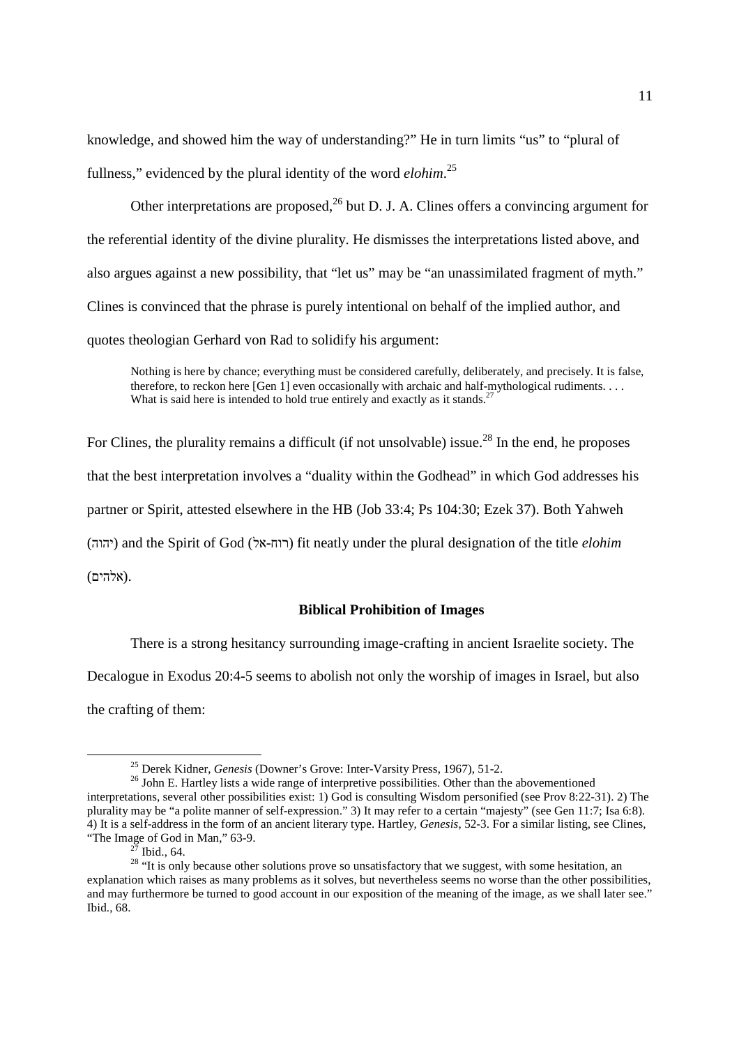knowledge, and showed him the way of understanding?" He in turn limits "us" to "plural of fullness," evidenced by the plural identity of the word *elohim*. 25

Other interpretations are proposed,  $^{26}$  but D. J. A. Clines offers a convincing argument for the referential identity of the divine plurality. He dismisses the interpretations listed above, and also argues against a new possibility, that "let us" may be "an unassimilated fragment of myth." Clines is convinced that the phrase is purely intentional on behalf of the implied author, and quotes theologian Gerhard von Rad to solidify his argument:

Nothing is here by chance; everything must be considered carefully, deliberately, and precisely. It is false, therefore, to reckon here [Gen 1] even occasionally with archaic and half-mythological rudiments. . . . What is said here is intended to hold true entirely and exactly as it stands.<sup>2</sup>

For Clines, the plurality remains a difficult (if not unsolvable) issue.<sup>28</sup> In the end, he proposes that the best interpretation involves a "duality within the Godhead" in which God addresses his partner or Spirit, attested elsewhere in the HB (Job 33:4; Ps 104:30; Ezek 37). Both Yahweh (יהוה (and the Spirit of God (אל-רוח (fit neatly under the plural designation of the title *elohim*  .(אלהים)

### **Biblical Prohibition of Images**

 There is a strong hesitancy surrounding image-crafting in ancient Israelite society. The Decalogue in Exodus 20:4-5 seems to abolish not only the worship of images in Israel, but also the crafting of them:

<sup>25</sup> Derek Kidner, *Genesis* (Downer's Grove: Inter-Varsity Press, 1967), 51-2.

<sup>&</sup>lt;sup>26</sup> John E. Hartley lists a wide range of interpretive possibilities. Other than the abovementioned interpretations, several other possibilities exist: 1) God is consulting Wisdom personified (see Prov 8:22-31). 2) The plurality may be "a polite manner of self-expression." 3) It may refer to a certain "majesty" (see Gen 11:7; Isa 6:8). 4) It is a self-address in the form of an ancient literary type. Hartley, *Genesis*, 52-3. For a similar listing, see Clines, "The Image of God in Man," 63-9.

<sup>27</sup> Ibid., 64.

<sup>&</sup>lt;sup>28</sup> "It is only because other solutions prove so unsatisfactory that we suggest, with some hesitation, an explanation which raises as many problems as it solves, but nevertheless seems no worse than the other possibilities, and may furthermore be turned to good account in our exposition of the meaning of the image, as we shall later see." Ibid., 68.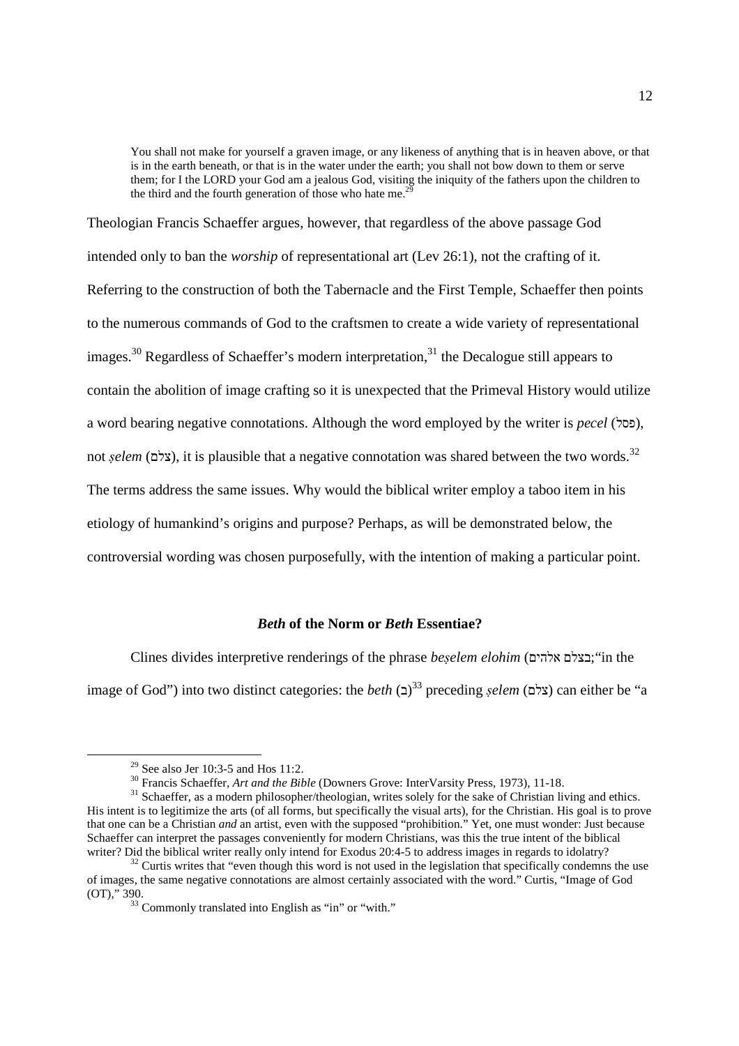You shall not make for yourself a graven image, or any likeness of anything that is in heaven above, or that is in the earth beneath, or that is in the water under the earth; you shall not bow down to them or serve them; for I the LORD your God am a jealous God, visiting the iniquity of the fathers upon the children to the third and the fourth generation of those who hate me.<sup>2</sup>

Theologian Francis Schaeffer argues, however, that regardless of the above passage God intended only to ban the *worship* of representational art (Lev 26:1), not the crafting of it. Referring to the construction of both the Tabernacle and the First Temple, Schaeffer then points to the numerous commands of God to the craftsmen to create a wide variety of representational images.<sup>30</sup> Regardless of Schaeffer's modern interpretation,<sup>31</sup> the Decalogue still appears to contain the abolition of image crafting so it is unexpected that the Primeval History would utilize a word bearing negative connotations. Although the word employed by the writer is *pecel* (פסל), not *ṣelem* (צלם), it is plausible that a negative connotation was shared between the two words.<sup>32</sup> The terms address the same issues. Why would the biblical writer employ a taboo item in his etiology of humankind's origins and purpose? Perhaps, as will be demonstrated below, the controversial wording was chosen purposefully, with the intention of making a particular point.

## *Beth* **of the Norm or** *Beth* **Essentiae?**

Clines divides interpretive renderings of the phrase *beṣelem elohim* (אלהים בצלם";in the image of God") into two distinct categories: the *beth* (בלם)<sup>33</sup> preceding *ṣelem* (צלם) can either be "a

 $29$  See also Jer 10:3-5 and Hos 11:2.

<sup>30</sup> Francis Schaeffer, *Art and the Bible* (Downers Grove: InterVarsity Press, 1973), 11-18.

<sup>&</sup>lt;sup>31</sup> Schaeffer, as a modern philosopher/theologian, writes solely for the sake of Christian living and ethics. His intent is to legitimize the arts (of all forms, but specifically the visual arts), for the Christian. His goal is to prove that one can be a Christian *and* an artist, even with the supposed "prohibition." Yet, one must wonder: Just because Schaeffer can interpret the passages conveniently for modern Christians, was this the true intent of the biblical writer? Did the biblical writer really only intend for Exodus 20:4-5 to address images in regards to idolatry?

 $32$  Curtis writes that "even though this word is not used in the legislation that specifically condemns the use of images, the same negative connotations are almost certainly associated with the word." Curtis, "Image of God (OT)," 390.

<sup>33</sup> Commonly translated into English as "in" or "with."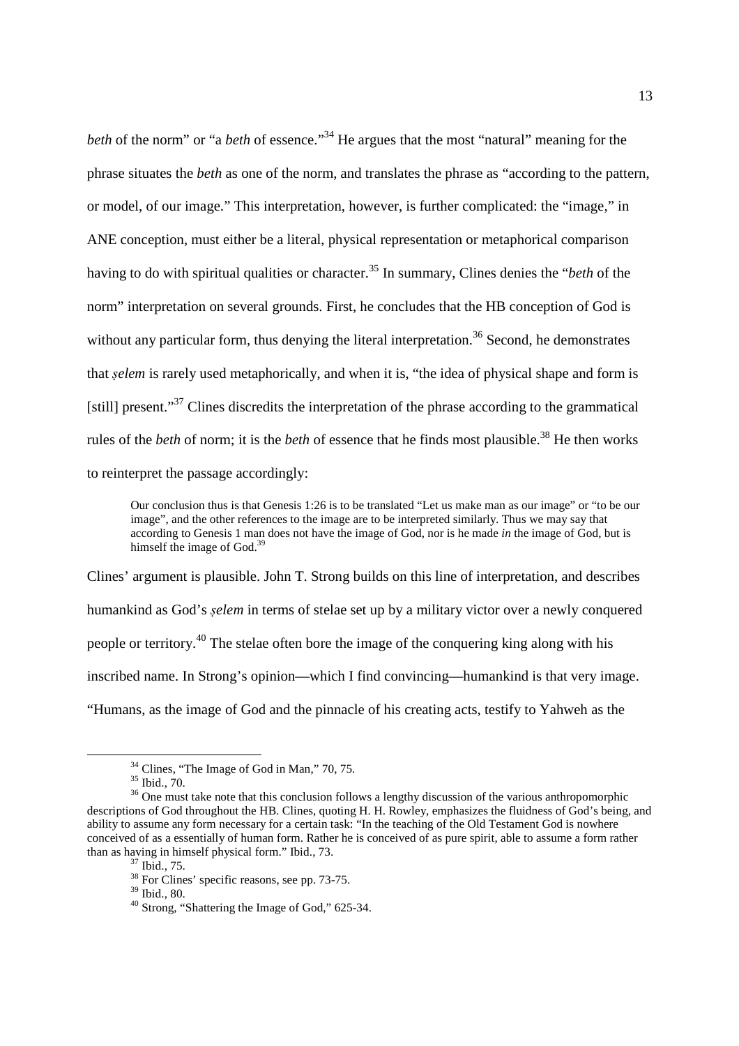*beth* of the norm" or "a *beth* of essence."<sup>34</sup> He argues that the most "natural" meaning for the phrase situates the *beth* as one of the norm, and translates the phrase as "according to the pattern, or model, of our image." This interpretation, however, is further complicated: the "image," in ANE conception, must either be a literal, physical representation or metaphorical comparison having to do with spiritual qualities or character.<sup>35</sup> In summary, Clines denies the "*beth* of the norm" interpretation on several grounds. First, he concludes that the HB conception of God is without any particular form, thus denying the literal interpretation.<sup>36</sup> Second, he demonstrates that *ṣelem* is rarely used metaphorically, and when it is, "the idea of physical shape and form is [still] present."<sup>37</sup> Clines discredits the interpretation of the phrase according to the grammatical rules of the *beth* of norm; it is the *beth* of essence that he finds most plausible.<sup>38</sup> He then works to reinterpret the passage accordingly:

Our conclusion thus is that Genesis 1:26 is to be translated "Let us make man as our image" or "to be our image", and the other references to the image are to be interpreted similarly. Thus we may say that according to Genesis 1 man does not have the image of God, nor is he made *in* the image of God, but is himself the image of God.<sup>39</sup>

Clines' argument is plausible. John T. Strong builds on this line of interpretation, and describes humankind as God's *ṣelem* in terms of stelae set up by a military victor over a newly conquered people or territory.<sup>40</sup> The stelae often bore the image of the conquering king along with his inscribed name. In Strong's opinion—which I find convincing—humankind is that very image. "Humans, as the image of God and the pinnacle of his creating acts, testify to Yahweh as the

<sup>&</sup>lt;sup>34</sup> Clines, "The Image of God in Man," 70, 75.

<sup>35</sup> Ibid., 70.

<sup>&</sup>lt;sup>36</sup> One must take note that this conclusion follows a lengthy discussion of the various anthropomorphic descriptions of God throughout the HB. Clines, quoting H. H. Rowley, emphasizes the fluidness of God's being, and ability to assume any form necessary for a certain task: "In the teaching of the Old Testament God is nowhere conceived of as a essentially of human form. Rather he is conceived of as pure spirit, able to assume a form rather than as having in himself physical form." Ibid., 73.

 $37$  Ibid., 75.

 $38$  For Clines' specific reasons, see pp. 73-75.

 $39$  Ibid., 80.

<sup>40</sup> Strong, "Shattering the Image of God," 625-34.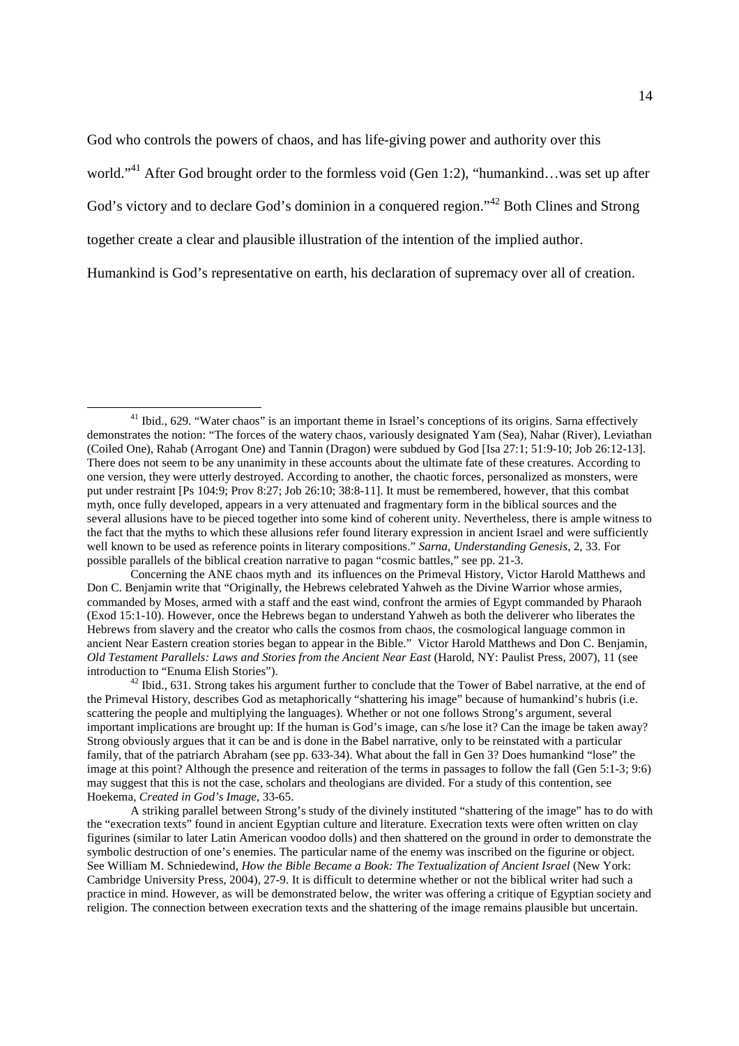God who controls the powers of chaos, and has life-giving power and authority over this

world."<sup>41</sup> After God brought order to the formless void (Gen 1:2), "humankind…was set up after

God's victory and to declare God's dominion in a conquered region."<sup>42</sup> Both Clines and Strong

together create a clear and plausible illustration of the intention of the implied author.

Humankind is God's representative on earth, his declaration of supremacy over all of creation.

<sup>42</sup> Ibid., 631. Strong takes his argument further to conclude that the Tower of Babel narrative, at the end of the Primeval History, describes God as metaphorically "shattering his image" because of humankind's hubris (i.e. scattering the people and multiplying the languages). Whether or not one follows Strong's argument, several important implications are brought up: If the human is God's image, can s/he lose it? Can the image be taken away? Strong obviously argues that it can be and is done in the Babel narrative, only to be reinstated with a particular family, that of the patriarch Abraham (see pp. 633-34). What about the fall in Gen 3? Does humankind "lose" the image at this point? Although the presence and reiteration of the terms in passages to follow the fall (Gen 5:1-3; 9:6) may suggest that this is not the case, scholars and theologians are divided. For a study of this contention, see Hoekema, *Created in God's Image*, 33-65.

A striking parallel between Strong's study of the divinely instituted "shattering of the image" has to do with the "execration texts" found in ancient Egyptian culture and literature. Execration texts were often written on clay figurines (similar to later Latin American voodoo dolls) and then shattered on the ground in order to demonstrate the symbolic destruction of one's enemies. The particular name of the enemy was inscribed on the figurine or object. See William M. Schniedewind, *How the Bible Became a Book: The Textualization of Ancient Israel* (New York: Cambridge University Press, 2004), 27-9. It is difficult to determine whether or not the biblical writer had such a practice in mind. However, as will be demonstrated below, the writer was offering a critique of Egyptian society and religion. The connection between execration texts and the shattering of the image remains plausible but uncertain.

<sup>&</sup>lt;u>.</u> <sup>41</sup> Ibid., 629. "Water chaos" is an important theme in Israel's conceptions of its origins. Sarna effectively demonstrates the notion: "The forces of the watery chaos, variously designated Yam (Sea), Nahar (River), Leviathan (Coiled One), Rahab (Arrogant One) and Tannin (Dragon) were subdued by God [Isa 27:1; 51:9-10; Job 26:12-13]. There does not seem to be any unanimity in these accounts about the ultimate fate of these creatures. According to one version, they were utterly destroyed. According to another, the chaotic forces, personalized as monsters, were put under restraint [Ps 104:9; Prov 8:27; Job 26:10; 38:8-11]. It must be remembered, however, that this combat myth, once fully developed, appears in a very attenuated and fragmentary form in the biblical sources and the several allusions have to be pieced together into some kind of coherent unity. Nevertheless, there is ample witness to the fact that the myths to which these allusions refer found literary expression in ancient Israel and were sufficiently well known to be used as reference points in literary compositions." *Sarna*, *Understanding Genesis*, 2, 33. For possible parallels of the biblical creation narrative to pagan "cosmic battles," see pp. 21-3.

Concerning the ANE chaos myth and its influences on the Primeval History, Victor Harold Matthews and Don C. Benjamin write that "Originally, the Hebrews celebrated Yahweh as the Divine Warrior whose armies, commanded by Moses, armed with a staff and the east wind, confront the armies of Egypt commanded by Pharaoh (Exod 15:1-10). However, once the Hebrews began to understand Yahweh as both the deliverer who liberates the Hebrews from slavery and the creator who calls the cosmos from chaos, the cosmological language common in ancient Near Eastern creation stories began to appear in the Bible." Victor Harold Matthews and Don C. Benjamin, *Old Testament Parallels: Laws and Stories from the Ancient Near East* (Harold, NY: Paulist Press, 2007), 11 (see introduction to "Enuma Elish Stories").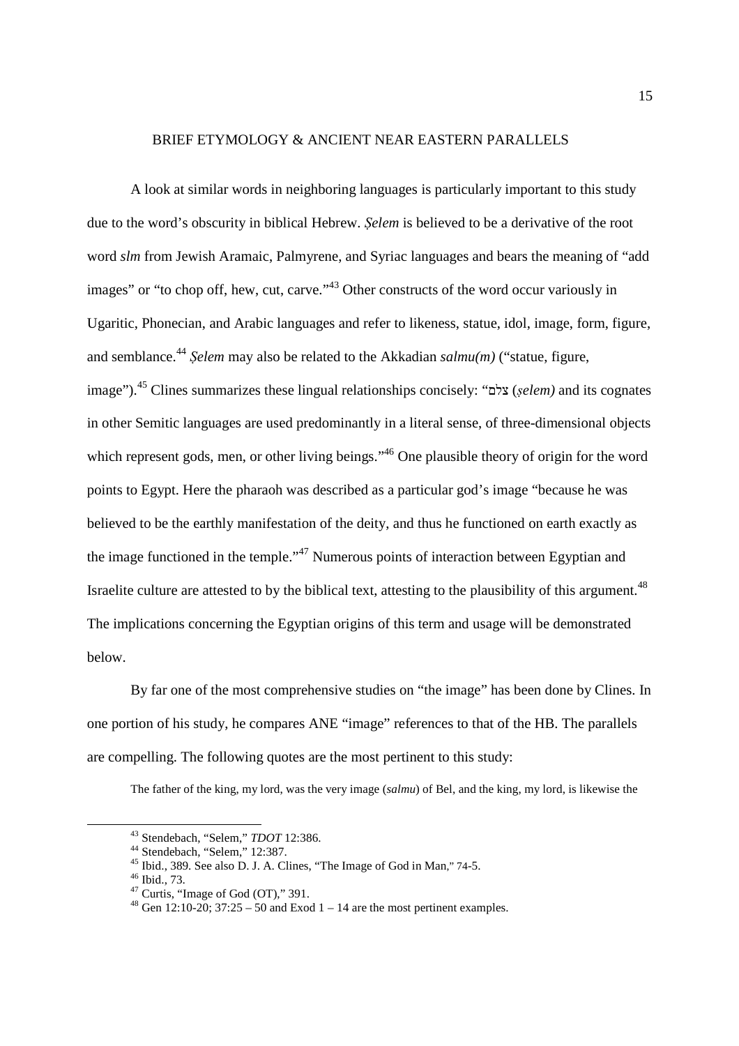#### BRIEF ETYMOLOGY & ANCIENT NEAR EASTERN PARALLELS

 A look at similar words in neighboring languages is particularly important to this study due to the word's obscurity in biblical Hebrew. *Ṣelem* is believed to be a derivative of the root word *slm* from Jewish Aramaic, Palmyrene, and Syriac languages and bears the meaning of "add images" or "to chop off, hew, cut, carve."<sup>43</sup> Other constructs of the word occur variously in Ugaritic, Phonecian, and Arabic languages and refer to likeness, statue, idol, image, form, figure, and semblance.<sup>44</sup> *Şelem* may also be related to the Akkadian *salmu(m)* ("statue, figure, image").<sup>45</sup> Clines summarizes these lingual relationships concisely: "צלם) *ṣelem)* and its cognates in other Semitic languages are used predominantly in a literal sense, of three-dimensional objects which represent gods, men, or other living beings."<sup>46</sup> One plausible theory of origin for the word points to Egypt. Here the pharaoh was described as a particular god's image "because he was believed to be the earthly manifestation of the deity, and thus he functioned on earth exactly as the image functioned in the temple."<sup>47</sup> Numerous points of interaction between Egyptian and Israelite culture are attested to by the biblical text, attesting to the plausibility of this argument.<sup>48</sup> The implications concerning the Egyptian origins of this term and usage will be demonstrated below.

By far one of the most comprehensive studies on "the image" has been done by Clines. In one portion of his study, he compares ANE "image" references to that of the HB. The parallels are compelling. The following quotes are the most pertinent to this study:

The father of the king, my lord, was the very image (*salmu*) of Bel, and the king, my lord, is likewise the

<sup>43</sup> Stendebach, "Selem," *TDOT* 12:386.

<sup>44</sup> Stendebach, "Selem," 12:387.

<sup>45</sup> Ibid., 389. See also D. J. A. Clines, "The Image of God in Man," 74-5.

 $46$  Ibid., 73.

 $^{47}$  Curtis, "Image of God (OT)," 391.

<sup>&</sup>lt;sup>48</sup> Gen 12:10-20; 37:25 – 50 and Exod 1 – 14 are the most pertinent examples.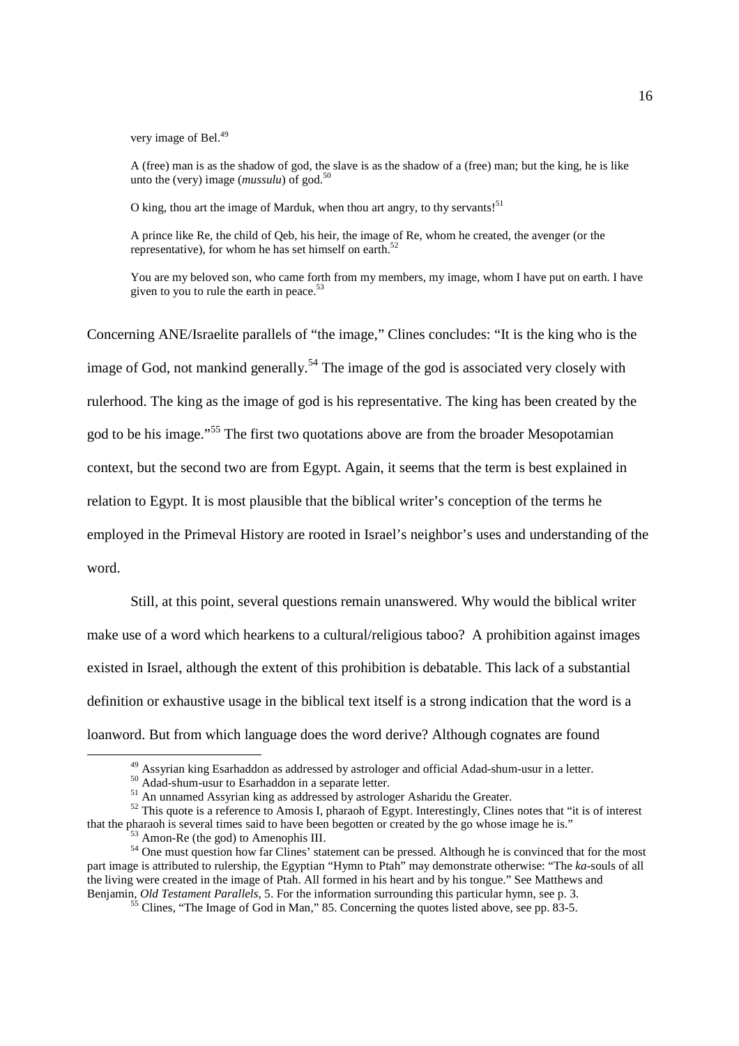very image of Bel.<sup>49</sup>

A (free) man is as the shadow of god, the slave is as the shadow of a (free) man; but the king, he is like unto the (very) image ( $mussulu$ ) of god.<sup>50</sup>

O king, thou art the image of Marduk, when thou art angry, to thy servants!<sup>51</sup>

A prince like Re, the child of Qeb, his heir, the image of Re, whom he created, the avenger (or the representative), for whom he has set himself on earth. $52$ 

You are my beloved son, who came forth from my members, my image, whom I have put on earth. I have given to you to rule the earth in peace. $53$ 

Concerning ANE/Israelite parallels of "the image," Clines concludes: "It is the king who is the image of God, not mankind generally.<sup>54</sup> The image of the god is associated very closely with rulerhood. The king as the image of god is his representative. The king has been created by the god to be his image."<sup>55</sup> The first two quotations above are from the broader Mesopotamian context, but the second two are from Egypt. Again, it seems that the term is best explained in relation to Egypt. It is most plausible that the biblical writer's conception of the terms he employed in the Primeval History are rooted in Israel's neighbor's uses and understanding of the word.

Still, at this point, several questions remain unanswered. Why would the biblical writer make use of a word which hearkens to a cultural/religious taboo? A prohibition against images existed in Israel, although the extent of this prohibition is debatable. This lack of a substantial definition or exhaustive usage in the biblical text itself is a strong indication that the word is a loanword. But from which language does the word derive? Although cognates are found

<sup>&</sup>lt;sup>49</sup> Assyrian king Esarhaddon as addressed by astrologer and official Adad-shum-usur in a letter.

<sup>&</sup>lt;sup>50</sup> Adad-shum-usur to Esarhaddon in a separate letter.

<sup>&</sup>lt;sup>51</sup> An unnamed Assyrian king as addressed by astrologer Asharidu the Greater.

 $52$  This quote is a reference to Amosis I, pharaoh of Egypt. Interestingly, Clines notes that "it is of interest that the pharaoh is several times said to have been begotten or created by the go whose image he is."

Amon-Re (the god) to Amenophis III.

 $54$  One must question how far Clines' statement can be pressed. Although he is convinced that for the most part image is attributed to rulership, the Egyptian "Hymn to Ptah" may demonstrate otherwise: "The *ka*-souls of all the living were created in the image of Ptah. All formed in his heart and by his tongue." See Matthews and Benjamin, *Old Testament Parallels*, 5. For the information surrounding this particular hymn, see p. 3.

 $\overline{5}$  Clines, "The Image of God in Man," 85. Concerning the quotes listed above, see pp. 83-5.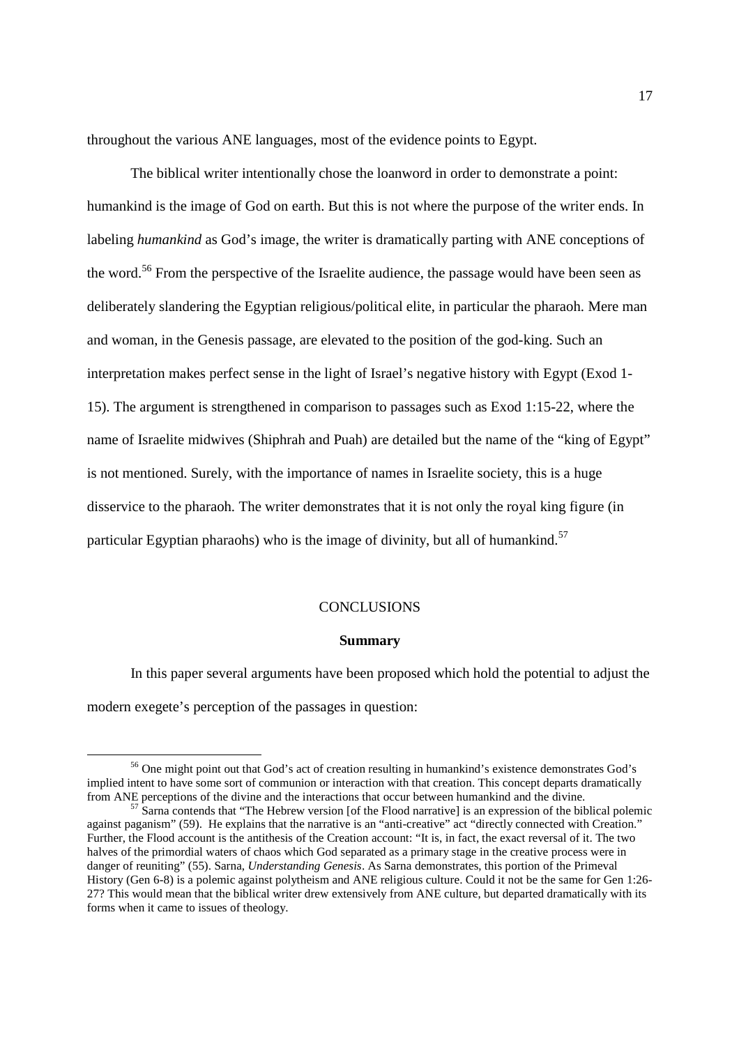throughout the various ANE languages, most of the evidence points to Egypt.

The biblical writer intentionally chose the loanword in order to demonstrate a point: humankind is the image of God on earth. But this is not where the purpose of the writer ends. In labeling *humankind* as God's image, the writer is dramatically parting with ANE conceptions of the word.<sup>56</sup> From the perspective of the Israelite audience, the passage would have been seen as deliberately slandering the Egyptian religious/political elite, in particular the pharaoh. Mere man and woman, in the Genesis passage, are elevated to the position of the god-king. Such an interpretation makes perfect sense in the light of Israel's negative history with Egypt (Exod 1- 15). The argument is strengthened in comparison to passages such as Exod 1:15-22, where the name of Israelite midwives (Shiphrah and Puah) are detailed but the name of the "king of Egypt" is not mentioned. Surely, with the importance of names in Israelite society, this is a huge disservice to the pharaoh. The writer demonstrates that it is not only the royal king figure (in particular Egyptian pharaohs) who is the image of divinity, but all of humankind.<sup>57</sup>

## **CONCLUSIONS**

#### **Summary**

In this paper several arguments have been proposed which hold the potential to adjust the modern exegete's perception of the passages in question:

<sup>&</sup>lt;sup>56</sup> One might point out that God's act of creation resulting in humankind's existence demonstrates God's implied intent to have some sort of communion or interaction with that creation. This concept departs dramatically from ANE perceptions of the divine and the interactions that occur between humankind and the divine.

 $57$  Sarna contends that "The Hebrew version [of the Flood narrative] is an expression of the biblical polemic against paganism" (59). He explains that the narrative is an "anti-creative" act "directly connected with Creation." Further, the Flood account is the antithesis of the Creation account: "It is, in fact, the exact reversal of it. The two halves of the primordial waters of chaos which God separated as a primary stage in the creative process were in danger of reuniting" (55). Sarna, *Understanding Genesis*. As Sarna demonstrates, this portion of the Primeval History (Gen 6-8) is a polemic against polytheism and ANE religious culture. Could it not be the same for Gen 1:26-27? This would mean that the biblical writer drew extensively from ANE culture, but departed dramatically with its forms when it came to issues of theology.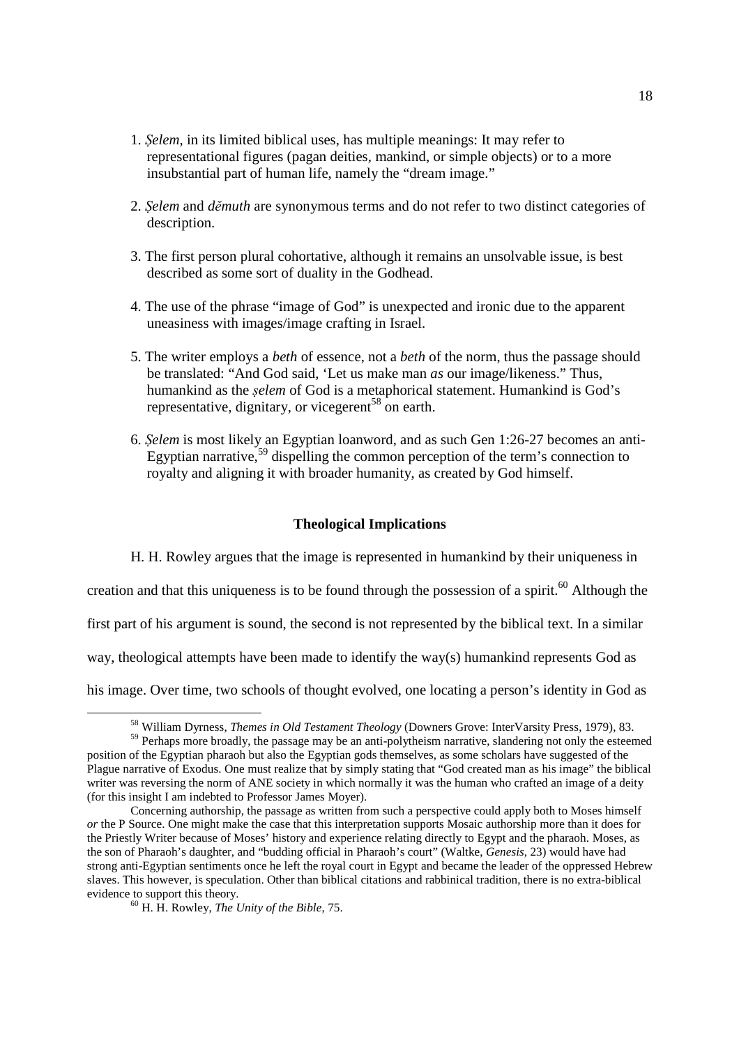- 1. *Ṣelem*, in its limited biblical uses, has multiple meanings: It may refer to representational figures (pagan deities, mankind, or simple objects) or to a more insubstantial part of human life, namely the "dream image."
- 2. *Ṣelem* and *dĕmuth* are synonymous terms and do not refer to two distinct categories of description.
- 3. The first person plural cohortative, although it remains an unsolvable issue, is best described as some sort of duality in the Godhead.
- 4. The use of the phrase "image of God" is unexpected and ironic due to the apparent uneasiness with images/image crafting in Israel.
- 5. The writer employs a *beth* of essence, not a *beth* of the norm, thus the passage should be translated: "And God said, 'Let us make man *as* our image/likeness." Thus, humankind as the *ṣelem* of God is a metaphorical statement. Humankind is God's representative, dignitary, or vicegerent<sup>58</sup> on earth.
- 6. *Ṣelem* is most likely an Egyptian loanword, and as such Gen 1:26-27 becomes an anti-Egyptian narrative,<sup>59</sup> dispelling the common perception of the term's connection to royalty and aligning it with broader humanity, as created by God himself.

## **Theological Implications**

H. H. Rowley argues that the image is represented in humankind by their uniqueness in

creation and that this uniqueness is to be found through the possession of a spirit. $^{60}$  Although the

first part of his argument is sound, the second is not represented by the biblical text. In a similar

way, theological attempts have been made to identify the way(s) humankind represents God as

his image. Over time, two schools of thought evolved, one locating a person's identity in God as

<sup>58</sup> William Dyrness, *Themes in Old Testament Theology* (Downers Grove: InterVarsity Press, 1979), 83.

<sup>&</sup>lt;sup>59</sup> Perhaps more broadly, the passage may be an anti-polytheism narrative, slandering not only the esteemed position of the Egyptian pharaoh but also the Egyptian gods themselves, as some scholars have suggested of the Plague narrative of Exodus. One must realize that by simply stating that "God created man as his image" the biblical writer was reversing the norm of ANE society in which normally it was the human who crafted an image of a deity (for this insight I am indebted to Professor James Moyer).

Concerning authorship, the passage as written from such a perspective could apply both to Moses himself *or* the P Source. One might make the case that this interpretation supports Mosaic authorship more than it does for the Priestly Writer because of Moses' history and experience relating directly to Egypt and the pharaoh. Moses, as the son of Pharaoh's daughter, and "budding official in Pharaoh's court" (Waltke, *Genesis*, 23) would have had strong anti-Egyptian sentiments once he left the royal court in Egypt and became the leader of the oppressed Hebrew slaves. This however, is speculation. Other than biblical citations and rabbinical tradition, there is no extra-biblical evidence to support this theory.

<sup>60</sup> H. H. Rowley, *The Unity of the Bible*, 75.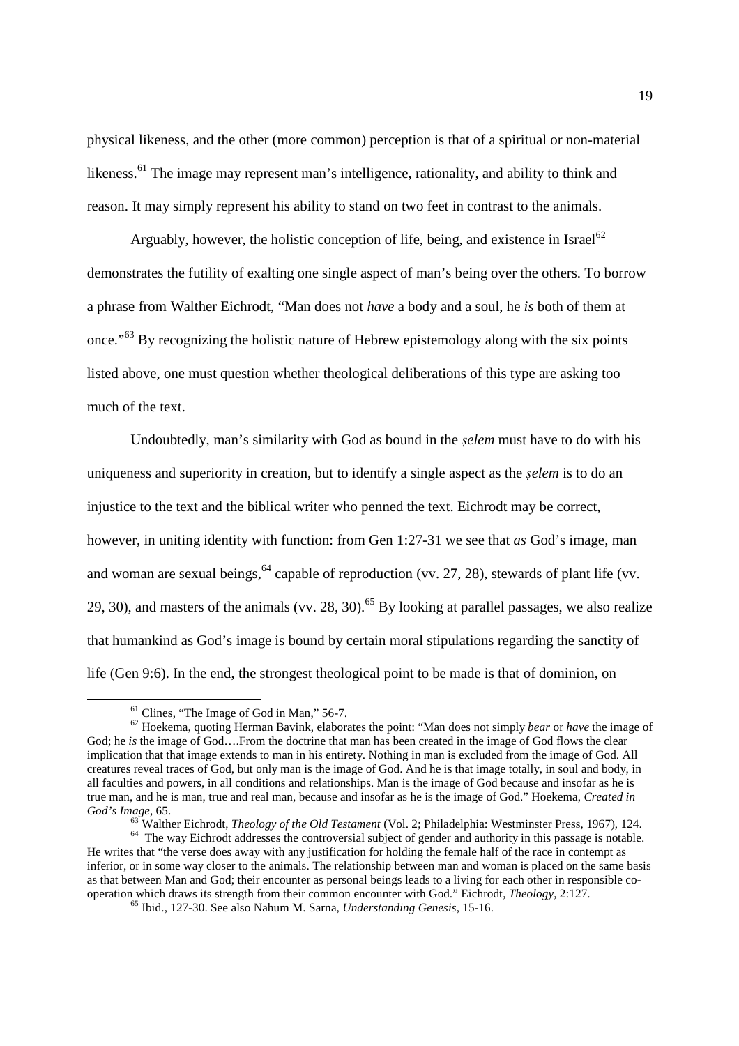physical likeness, and the other (more common) perception is that of a spiritual or non-material likeness.<sup>61</sup> The image may represent man's intelligence, rationality, and ability to think and reason. It may simply represent his ability to stand on two feet in contrast to the animals.

Arguably, however, the holistic conception of life, being, and existence in Israel $^{62}$ demonstrates the futility of exalting one single aspect of man's being over the others. To borrow a phrase from Walther Eichrodt, "Man does not *have* a body and a soul, he *is* both of them at once."<sup>63</sup> By recognizing the holistic nature of Hebrew epistemology along with the six points listed above, one must question whether theological deliberations of this type are asking too much of the text.

Undoubtedly, man's similarity with God as bound in the *ṣelem* must have to do with his uniqueness and superiority in creation, but to identify a single aspect as the *ṣelem* is to do an injustice to the text and the biblical writer who penned the text. Eichrodt may be correct, however, in uniting identity with function: from Gen 1:27-31 we see that *as* God's image, man and woman are sexual beings,  $64$  capable of reproduction (vv. 27, 28), stewards of plant life (vv. 29, 30), and masters of the animals (vv. 28, 30).<sup>65</sup> By looking at parallel passages, we also realize that humankind as God's image is bound by certain moral stipulations regarding the sanctity of life (Gen 9:6). In the end, the strongest theological point to be made is that of dominion, on

<u>.</u>

<sup>&</sup>lt;sup>61</sup> Clines, "The Image of God in Man," 56-7.

<sup>62</sup> Hoekema, quoting Herman Bavink, elaborates the point: "Man does not simply *bear* or *have* the image of God; he *is* the image of God….From the doctrine that man has been created in the image of God flows the clear implication that that image extends to man in his entirety. Nothing in man is excluded from the image of God. All creatures reveal traces of God, but only man is the image of God. And he is that image totally, in soul and body, in all faculties and powers, in all conditions and relationships. Man is the image of God because and insofar as he is true man, and he is man, true and real man, because and insofar as he is the image of God." Hoekema, *Created in God's Image*, 65.

<sup>63</sup> Walther Eichrodt, *Theology of the Old Testament* (Vol. 2; Philadelphia: Westminster Press, 1967), 124.

<sup>&</sup>lt;sup>64</sup> The way Eichrodt addresses the controversial subject of gender and authority in this passage is notable. He writes that "the verse does away with any justification for holding the female half of the race in contempt as inferior, or in some way closer to the animals. The relationship between man and woman is placed on the same basis as that between Man and God; their encounter as personal beings leads to a living for each other in responsible cooperation which draws its strength from their common encounter with God." Eichrodt, *Theology*, 2:127.

<sup>65</sup> Ibid., 127-30. See also Nahum M. Sarna, *Understanding Genesis*, 15-16.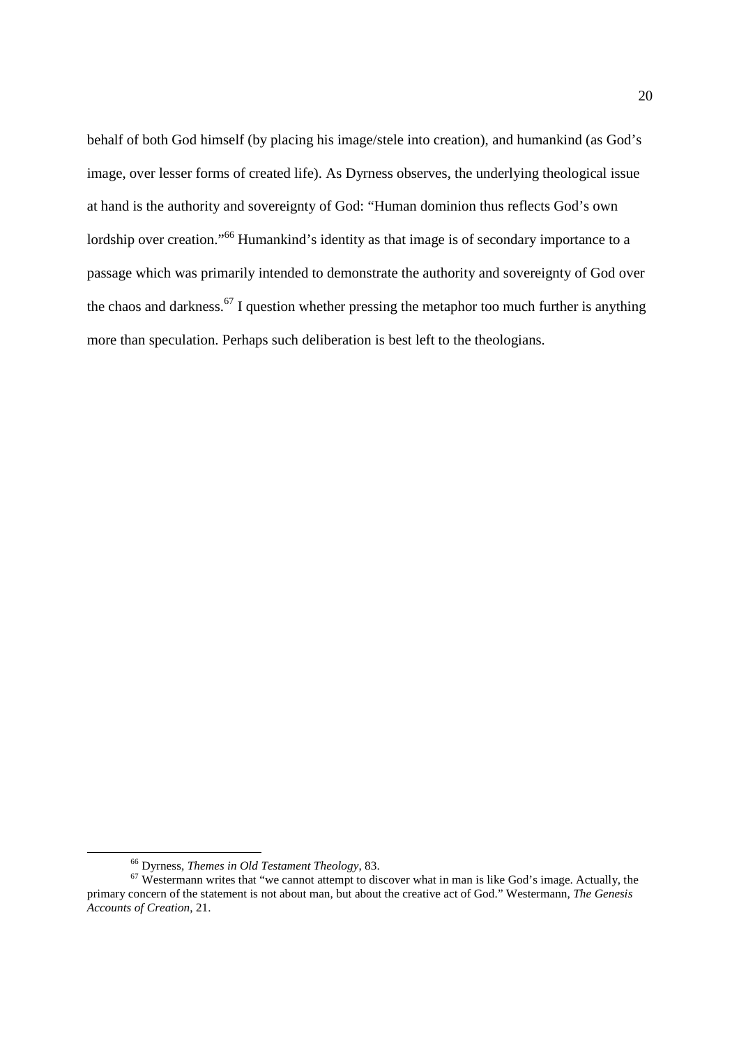behalf of both God himself (by placing his image/stele into creation), and humankind (as God's image, over lesser forms of created life). As Dyrness observes, the underlying theological issue at hand is the authority and sovereignty of God: "Human dominion thus reflects God's own lordship over creation."<sup>66</sup> Humankind's identity as that image is of secondary importance to a passage which was primarily intended to demonstrate the authority and sovereignty of God over the chaos and darkness.<sup>67</sup> I question whether pressing the metaphor too much further is anything more than speculation. Perhaps such deliberation is best left to the theologians.

<sup>66</sup> Dyrness, *Themes in Old Testament Theology*, 83.

 $67$  Westermann writes that "we cannot attempt to discover what in man is like God's image. Actually, the primary concern of the statement is not about man, but about the creative act of God." Westermann, *The Genesis Accounts of Creation*, 21.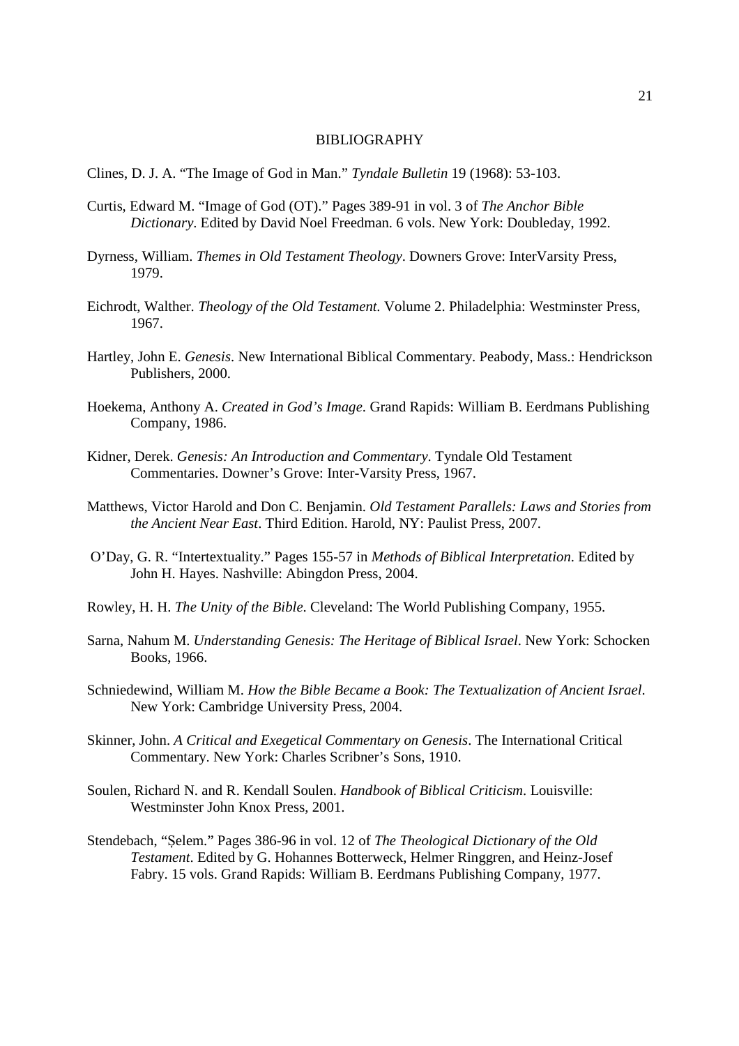#### BIBLIOGRAPHY

- Clines, D. J. A. "The Image of God in Man." *Tyndale Bulletin* 19 (1968): 53-103.
- Curtis, Edward M. "Image of God (OT)." Pages 389-91 in vol. 3 of *The Anchor Bible Dictionary*. Edited by David Noel Freedman. 6 vols. New York: Doubleday, 1992.
- Dyrness, William. *Themes in Old Testament Theology*. Downers Grove: InterVarsity Press, 1979.
- Eichrodt, Walther. *Theology of the Old Testament.* Volume 2. Philadelphia: Westminster Press, 1967.
- Hartley, John E. *Genesis*. New International Biblical Commentary. Peabody, Mass.: Hendrickson Publishers, 2000.
- Hoekema, Anthony A. *Created in God's Image*. Grand Rapids: William B. Eerdmans Publishing Company, 1986.
- Kidner, Derek. *Genesis: An Introduction and Commentary*. Tyndale Old Testament Commentaries. Downer's Grove: Inter-Varsity Press, 1967.
- Matthews, Victor Harold and Don C. Benjamin. *Old Testament Parallels: Laws and Stories from the Ancient Near East*. Third Edition. Harold, NY: Paulist Press, 2007.
- O'Day, G. R. "Intertextuality." Pages 155-57 in *Methods of Biblical Interpretation*. Edited by John H. Hayes. Nashville: Abingdon Press, 2004.
- Rowley, H. H. *The Unity of the Bible*. Cleveland: The World Publishing Company, 1955.
- Sarna, Nahum M. *Understanding Genesis: The Heritage of Biblical Israel*. New York: Schocken Books, 1966.
- Schniedewind, William M. *How the Bible Became a Book: The Textualization of Ancient Israel*. New York: Cambridge University Press, 2004.
- Skinner, John. *A Critical and Exegetical Commentary on Genesis*. The International Critical Commentary. New York: Charles Scribner's Sons, 1910.
- Soulen, Richard N. and R. Kendall Soulen. *Handbook of Biblical Criticism*. Louisville: Westminster John Knox Press, 2001.
- Stendebach, "Ṣelem." Pages 386-96 in vol. 12 of *The Theological Dictionary of the Old Testament*. Edited by G. Hohannes Botterweck, Helmer Ringgren, and Heinz-Josef Fabry. 15 vols. Grand Rapids: William B. Eerdmans Publishing Company, 1977.